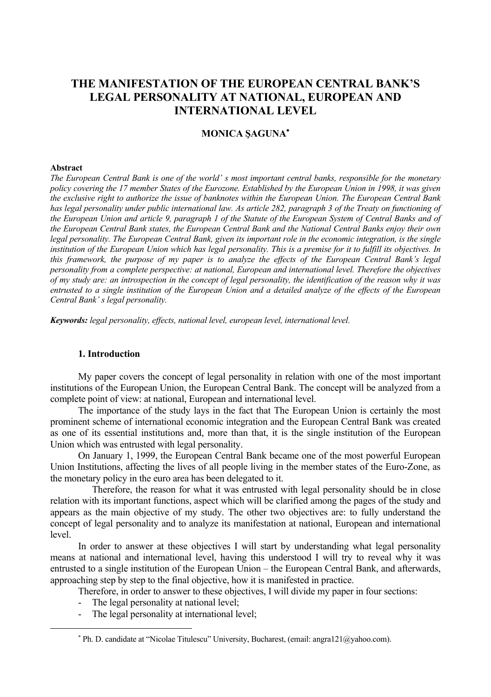# **THE MANIFESTATION OF THE EUROPEAN CENTRAL BANK'S LEGAL PERSONALITY AT NATIONAL, EUROPEAN AND INTERNATIONAL LEVEL**

# **MONICA ŞAGUNA**<sup>∗</sup>

#### **Abstract**

 $\overline{a}$ 

*The European Central Bank is one of the world' s most important central banks, responsible for the monetary policy covering the 17 member States of the Eurozone. Established by the European Union in 1998, it was given the exclusive right to authorize the issue of banknotes within the European Union. The European Central Bank*  has legal personality under public international law. As article 282, paragraph 3 of the Treaty on functioning of *the European Union and article 9, paragraph 1 of the Statute of the European System of Central Banks and of the European Central Bank states, the European Central Bank and the National Central Banks enjoy their own legal personality. The European Central Bank, given its important role in the economic integration, is the single institution of the European Union which has legal personality. This is a premise for it to fulfill its objectives. In this framework, the purpose of my paper is to analyze the effects of the European Central Bank's legal personality from a complete perspective: at national, European and international level. Therefore the objectives of my study are: an introspection in the concept of legal personality, the identification of the reason why it was entrusted to a single institution of the European Union and a detailed analyze of the effects of the European Central Bank' s legal personality.* 

*Keywords: legal personality, effects, national level, european level, international level.* 

# **1. Introduction**

My paper covers the concept of legal personality in relation with one of the most important institutions of the European Union, the European Central Bank. The concept will be analyzed from a complete point of view: at national, European and international level.

The importance of the study lays in the fact that The European Union is certainly the most prominent scheme of international economic integration and the European Central Bank was created as one of its essential institutions and, more than that, it is the single institution of the European Union which was entrusted with legal personality.

On January 1, 1999, the European Central Bank became one of the most powerful European Union Institutions, affecting the lives of all people living in the member states of the Euro-Zone, as the monetary policy in the euro area has been delegated to it.

 Therefore, the reason for what it was entrusted with legal personality should be in close relation with its important functions, aspect which will be clarified among the pages of the study and appears as the main objective of my study. The other two objectives are: to fully understand the concept of legal personality and to analyze its manifestation at national, European and international level.

In order to answer at these objectives I will start by understanding what legal personality means at national and international level, having this understood I will try to reveal why it was entrusted to a single institution of the European Union – the European Central Bank, and afterwards, approaching step by step to the final objective, how it is manifested in practice.

Therefore, in order to answer to these objectives, I will divide my paper in four sections:

- The legal personality at national level;
- The legal personality at international level;

<sup>∗</sup> Ph. D. candidate at "Nicolae Titulescu" University, Bucharest, (email: angra121@yahoo.com).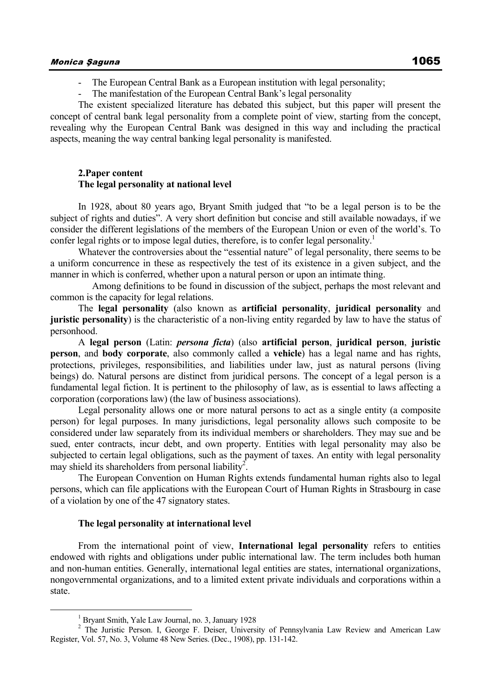- The European Central Bank as a European institution with legal personality;
- The manifestation of the European Central Bank's legal personality

The existent specialized literature has debated this subject, but this paper will present the concept of central bank legal personality from a complete point of view, starting from the concept, revealing why the European Central Bank was designed in this way and including the practical aspects, meaning the way central banking legal personality is manifested.

#### **2.Paper content The legal personality at national level**

In 1928, about 80 years ago, Bryant Smith judged that "to be a legal person is to be the subject of rights and duties". A very short definition but concise and still available nowadays, if we consider the different legislations of the members of the European Union or even of the world's. To confer legal rights or to impose legal duties, therefore, is to confer legal personality.

Whatever the controversies about the "essential nature" of legal personality, there seems to be a uniform concurrence in these as respectively the test of its existence in a given subject, and the manner in which is conferred, whether upon a natural person or upon an intimate thing.

 Among definitions to be found in discussion of the subject, perhaps the most relevant and common is the capacity for legal relations.

The **legal personality** (also known as **artificial personality**, **juridical personality** and **juristic personality**) is the characteristic of a non-living entity regarded by law to have the status of personhood.

A **legal person** (Latin: *persona ficta*) (also **artificial person**, **juridical person**, **juristic person**, and **body corporate**, also commonly called a **vehicle**) has a legal name and has rights, protections, privileges, responsibilities, and liabilities under law, just as natural persons (living beings) do. Natural persons are distinct from juridical persons. The concept of a legal person is a fundamental legal fiction. It is pertinent to the philosophy of law, as is essential to laws affecting a corporation (corporations law) (the law of business associations).

Legal personality allows one or more natural persons to act as a single entity (a composite person) for legal purposes. In many jurisdictions, legal personality allows such composite to be considered under law separately from its individual members or shareholders. They may sue and be sued, enter contracts, incur debt, and own property. Entities with legal personality may also be subjected to certain legal obligations, such as the payment of taxes. An entity with legal personality may shield its shareholders from personal liability<sup>2</sup>.

The European Convention on Human Rights extends fundamental human rights also to legal persons, which can file applications with the European Court of Human Rights in Strasbourg in case of a violation by one of the 47 signatory states.

## **The legal personality at international level**

From the international point of view, **International legal personality** refers to entities endowed with rights and obligations under public international law. The term includes both human and non-human entities. Generally, international legal entities are states, international organizations, nongovernmental organizations, and to a limited extent private individuals and corporations within a state.

 $\frac{1}{1}$ <sup>1</sup> Bryant Smith, Yale Law Journal, no. 3, January 1928

<sup>&</sup>lt;sup>2</sup> The Juristic Person. I, George F. Deiser, University of Pennsylvania Law Review and American Law Register, Vol. 57, No. 3, Volume 48 New Series. (Dec., 1908), pp. 131-142.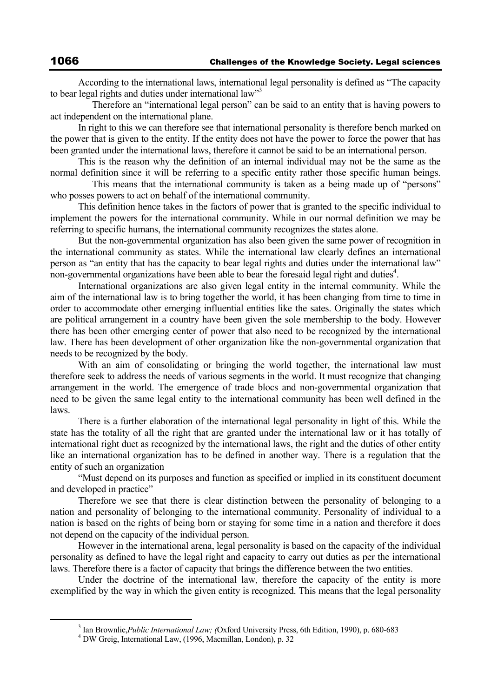According to the international laws, international legal personality is defined as "The capacity to bear legal rights and duties under international law"<sup>3</sup>

 Therefore an "international legal person" can be said to an entity that is having powers to act independent on the international plane.

In right to this we can therefore see that international personality is therefore bench marked on the power that is given to the entity. If the entity does not have the power to force the power that has been granted under the international laws, therefore it cannot be said to be an international person.

This is the reason why the definition of an internal individual may not be the same as the normal definition since it will be referring to a specific entity rather those specific human beings.

 This means that the international community is taken as a being made up of "persons" who posses powers to act on behalf of the international community.

This definition hence takes in the factors of power that is granted to the specific individual to implement the powers for the international community. While in our normal definition we may be referring to specific humans, the international community recognizes the states alone.

But the non-governmental organization has also been given the same power of recognition in the international community as states. While the international law clearly defines an international person as "an entity that has the capacity to bear legal rights and duties under the international law" non-governmental organizations have been able to bear the foresaid legal right and duties<sup>4</sup>.

International organizations are also given legal entity in the internal community. While the aim of the international law is to bring together the world, it has been changing from time to time in order to accommodate other emerging influential entities like the sates. Originally the states which are political arrangement in a country have been given the sole membership to the body. However there has been other emerging center of power that also need to be recognized by the international law. There has been development of other organization like the non-governmental organization that needs to be recognized by the body.

With an aim of consolidating or bringing the world together, the international law must therefore seek to address the needs of various segments in the world. It must recognize that changing arrangement in the world. The emergence of trade blocs and non-governmental organization that need to be given the same legal entity to the international community has been well defined in the laws.

There is a further elaboration of the international legal personality in light of this. While the state has the totality of all the right that are granted under the international law or it has totally of international right duet as recognized by the international laws, the right and the duties of other entity like an international organization has to be defined in another way. There is a regulation that the entity of such an organization

"Must depend on its purposes and function as specified or implied in its constituent document and developed in practice"

Therefore we see that there is clear distinction between the personality of belonging to a nation and personality of belonging to the international community. Personality of individual to a nation is based on the rights of being born or staying for some time in a nation and therefore it does not depend on the capacity of the individual person.

However in the international arena, legal personality is based on the capacity of the individual personality as defined to have the legal right and capacity to carry out duties as per the international laws. Therefore there is a factor of capacity that brings the difference between the two entities.

Under the doctrine of the international law, therefore the capacity of the entity is more exemplified by the way in which the given entity is recognized. This means that the legal personality

 $\frac{1}{3}$ <sup>3</sup> Ian Brownlie, *Public International Law;* (Oxford University Press, 6th Edition, 1990), p. 680-683

DW Greig, International Law, (1996, Macmillan, London), p. 32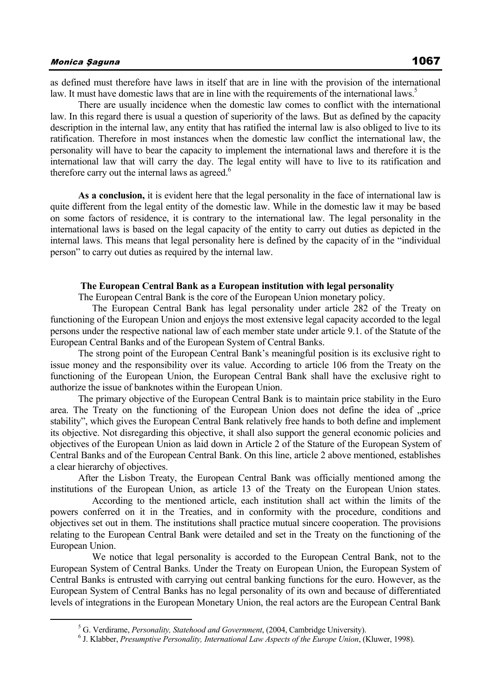as defined must therefore have laws in itself that are in line with the provision of the international law. It must have domestic laws that are in line with the requirements of the international laws.<sup>5</sup>

There are usually incidence when the domestic law comes to conflict with the international law. In this regard there is usual a question of superiority of the laws. But as defined by the capacity description in the internal law, any entity that has ratified the internal law is also obliged to live to its ratification. Therefore in most instances when the domestic law conflict the international law, the personality will have to bear the capacity to implement the international laws and therefore it is the international law that will carry the day. The legal entity will have to live to its ratification and therefore carry out the internal laws as agreed.<sup>6</sup>

**As a conclusion,** it is evident here that the legal personality in the face of international law is quite different from the legal entity of the domestic law. While in the domestic law it may be based on some factors of residence, it is contrary to the international law. The legal personality in the international laws is based on the legal capacity of the entity to carry out duties as depicted in the internal laws. This means that legal personality here is defined by the capacity of in the "individual person" to carry out duties as required by the internal law.

#### **The European Central Bank as a European institution with legal personality**

The European Central Bank is the core of the European Union monetary policy.

 The European Central Bank has legal personality under article 282 of the Treaty on functioning of the European Union and enjoys the most extensive legal capacity accorded to the legal persons under the respective national law of each member state under article 9.1. of the Statute of the European Central Banks and of the European System of Central Banks.

The strong point of the European Central Bank's meaningful position is its exclusive right to issue money and the responsibility over its value. According to article 106 from the Treaty on the functioning of the European Union, the European Central Bank shall have the exclusive right to authorize the issue of banknotes within the European Union.

The primary objective of the European Central Bank is to maintain price stability in the Euro area. The Treaty on the functioning of the European Union does not define the idea of .price stability", which gives the European Central Bank relatively free hands to both define and implement its objective. Not disregarding this objective, it shall also support the general economic policies and objectives of the European Union as laid down in Article 2 of the Stature of the European System of Central Banks and of the European Central Bank. On this line, article 2 above mentioned, establishes a clear hierarchy of objectives.

After the Lisbon Treaty, the European Central Bank was officially mentioned among the institutions of the European Union, as article 13 of the Treaty on the European Union states.

 According to the mentioned article, each institution shall act within the limits of the powers conferred on it in the Treaties, and in conformity with the procedure, conditions and objectives set out in them. The institutions shall practice mutual sincere cooperation. The provisions relating to the European Central Bank were detailed and set in the Treaty on the functioning of the European Union.

 We notice that legal personality is accorded to the European Central Bank, not to the European System of Central Banks. Under the Treaty on European Union, the European System of Central Banks is entrusted with carrying out central banking functions for the euro. However, as the European System of Central Banks has no legal personality of its own and because of differentiated levels of integrations in the European Monetary Union, the real actors are the European Central Bank

 $rac{1}{5}$ <sup>5</sup> G. Verdirame, *Personality, Statehood and Government*, (2004, Cambridge University).

J. Klabber, *Presumptive Personality, International Law Aspects of the Europe Union*, (Kluwer, 1998).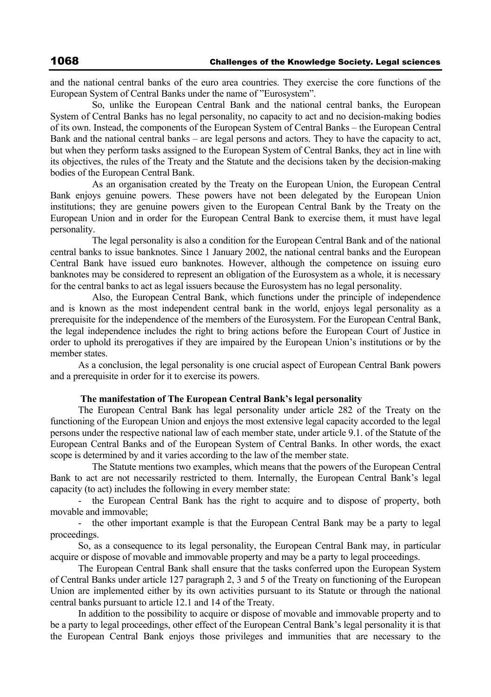and the national central banks of the euro area countries. They exercise the core functions of the European System of Central Banks under the name of "Eurosystem".

 So, unlike the European Central Bank and the national central banks, the European System of Central Banks has no legal personality, no capacity to act and no decision-making bodies of its own. Instead, the components of the European System of Central Banks – the European Central Bank and the national central banks – are legal persons and actors. They to have the capacity to act, but when they perform tasks assigned to the European System of Central Banks, they act in line with its objectives, the rules of the Treaty and the Statute and the decisions taken by the decision-making bodies of the European Central Bank.

 As an organisation created by the Treaty on the European Union, the European Central Bank enjoys genuine powers. These powers have not been delegated by the European Union institutions; they are genuine powers given to the European Central Bank by the Treaty on the European Union and in order for the European Central Bank to exercise them, it must have legal personality.

 The legal personality is also a condition for the European Central Bank and of the national central banks to issue banknotes. Since 1 January 2002, the national central banks and the European Central Bank have issued euro banknotes. However, although the competence on issuing euro banknotes may be considered to represent an obligation of the Eurosystem as a whole, it is necessary for the central banks to act as legal issuers because the Eurosystem has no legal personality.

 Also, the European Central Bank, which functions under the principle of independence and is known as the most independent central bank in the world, enjoys legal personality as a prerequisite for the independence of the members of the Eurosystem. For the European Central Bank, the legal independence includes the right to bring actions before the European Court of Justice in order to uphold its prerogatives if they are impaired by the European Union's institutions or by the member states.

As a conclusion, the legal personality is one crucial aspect of European Central Bank powers and a prerequisite in order for it to exercise its powers.

## **The manifestation of The European Central Bank's legal personality**

The European Central Bank has legal personality under article 282 of the Treaty on the functioning of the European Union and enjoys the most extensive legal capacity accorded to the legal persons under the respective national law of each member state, under article 9.1. of the Statute of the European Central Banks and of the European System of Central Banks. In other words, the exact scope is determined by and it varies according to the law of the member state.

 The Statute mentions two examples, which means that the powers of the European Central Bank to act are not necessarily restricted to them. Internally, the European Central Bank's legal capacity (to act) includes the following in every member state:

- the European Central Bank has the right to acquire and to dispose of property, both movable and immovable;

- the other important example is that the European Central Bank may be a party to legal proceedings.

So, as a consequence to its legal personality, the European Central Bank may, in particular acquire or dispose of movable and immovable property and may be a party to legal proceedings.

The European Central Bank shall ensure that the tasks conferred upon the European System of Central Banks under article 127 paragraph 2, 3 and 5 of the Treaty on functioning of the European Union are implemented either by its own activities pursuant to its Statute or through the national central banks pursuant to article 12.1 and 14 of the Treaty.

In addition to the possibility to acquire or dispose of movable and immovable property and to be a party to legal proceedings, other effect of the European Central Bank's legal personality it is that the European Central Bank enjoys those privileges and immunities that are necessary to the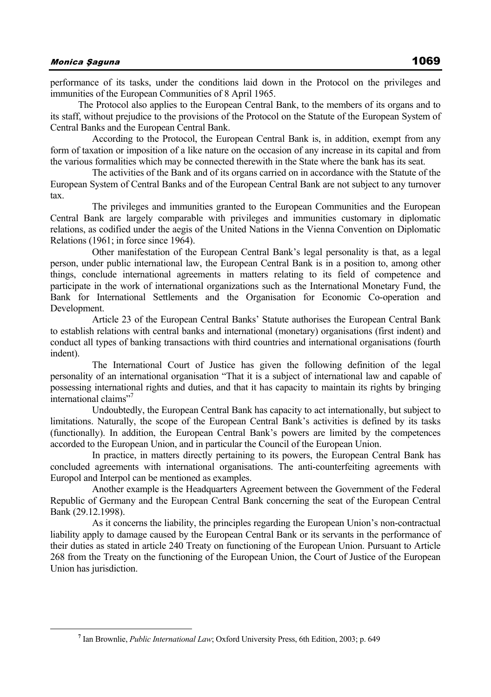performance of its tasks, under the conditions laid down in the Protocol on the privileges and immunities of the European Communities of 8 April 1965.

The Protocol also applies to the European Central Bank, to the members of its organs and to its staff, without prejudice to the provisions of the Protocol on the Statute of the European System of Central Banks and the European Central Bank.

 According to the Protocol, the European Central Bank is, in addition, exempt from any form of taxation or imposition of a like nature on the occasion of any increase in its capital and from the various formalities which may be connected therewith in the State where the bank has its seat.

 The activities of the Bank and of its organs carried on in accordance with the Statute of the European System of Central Banks and of the European Central Bank are not subject to any turnover tax.

 The privileges and immunities granted to the European Communities and the European Central Bank are largely comparable with privileges and immunities customary in diplomatic relations, as codified under the aegis of the United Nations in the Vienna Convention on Diplomatic Relations (1961; in force since 1964).

 Other manifestation of the European Central Bank's legal personality is that, as a legal person, under public international law, the European Central Bank is in a position to, among other things, conclude international agreements in matters relating to its field of competence and participate in the work of international organizations such as the International Monetary Fund, the Bank for International Settlements and the Organisation for Economic Co-operation and Development.

 Article 23 of the European Central Banks' Statute authorises the European Central Bank to establish relations with central banks and international (monetary) organisations (first indent) and conduct all types of banking transactions with third countries and international organisations (fourth indent).

 The International Court of Justice has given the following definition of the legal personality of an international organisation "That it is a subject of international law and capable of possessing international rights and duties, and that it has capacity to maintain its rights by bringing international claims"<sup>7</sup>

 Undoubtedly, the European Central Bank has capacity to act internationally, but subject to limitations. Naturally, the scope of the European Central Bank's activities is defined by its tasks (functionally). In addition, the European Central Bank's powers are limited by the competences accorded to the European Union, and in particular the Council of the European Union.

 In practice, in matters directly pertaining to its powers, the European Central Bank has concluded agreements with international organisations. The anti-counterfeiting agreements with Europol and Interpol can be mentioned as examples.

 Another example is the Headquarters Agreement between the Government of the Federal Republic of Germany and the European Central Bank concerning the seat of the European Central Bank (29.12.1998).

 As it concerns the liability, the principles regarding the European Union's non-contractual liability apply to damage caused by the European Central Bank or its servants in the performance of their duties as stated in article 240 Treaty on functioning of the European Union. Pursuant to Article 268 from the Treaty on the functioning of the European Union, the Court of Justice of the European Union has jurisdiction.

**<sup>7</sup>** Ian Brownlie, *Public International Law*; Oxford University Press, 6th Edition, 2003; p. 649